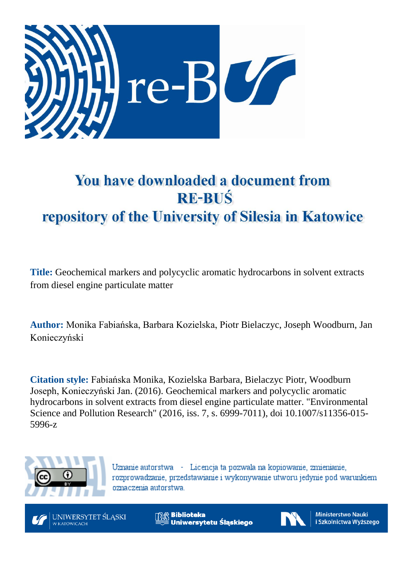

# You have downloaded a document from **RE-BUŚ** repository of the University of Silesia in Katowice

**Title:** Geochemical markers and polycyclic aromatic hydrocarbons in solvent extracts from diesel engine particulate matter

**Author:** Monika Fabiańska, Barbara Kozielska, Piotr Bielaczyc, Joseph Woodburn, Jan Konieczyński

**Citation style:** Fabiańska Monika, Kozielska Barbara, Bielaczyc Piotr, Woodburn Joseph, Konieczyński Jan. (2016). Geochemical markers and polycyclic aromatic hydrocarbons in solvent extracts from diesel engine particulate matter. "Environmental Science and Pollution Research" (2016, iss. 7, s. 6999-7011), doi 10.1007/s11356-015- 5996-z



Uznanie autorstwa - Licencja ta pozwala na kopiowanie, zmienianie, rozprowadzanie, przedstawianie i wykonywanie utworu jedynie pod warunkiem oznaczenia autorstwa.



**Biblioteka** Uniwersytetu Śląskiego



**Ministerstwo Nauki** i Szkolnictwa Wyższego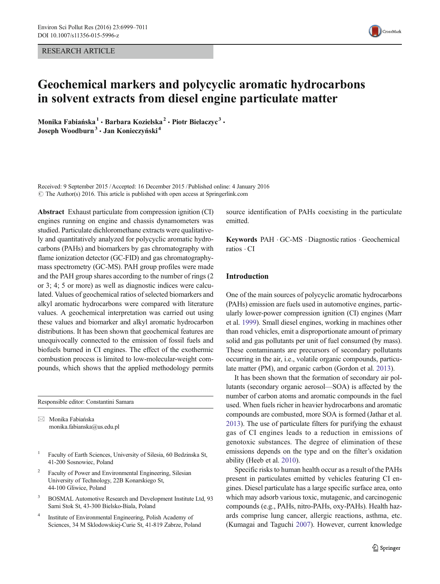RESEARCH ARTICLE



# Geochemical markers and polycyclic aromatic hydrocarbons in solvent extracts from diesel engine particulate matter

Monika Fabiańska<sup>1</sup> · Barbara Kozielska<sup>2</sup> · Piotr Bielaczyc<sup>3</sup> · Joseph Woodburn<sup>3</sup> · Jan Konieczyński<sup>4</sup>

Received: 9 September 2015 /Accepted: 16 December 2015 /Published online: 4 January 2016  $\odot$  The Author(s) 2016. This article is published with open access at Springerlink.com

Abstract Exhaust particulate from compression ignition (CI) engines running on engine and chassis dynamometers was studied. Particulate dichloromethane extracts were qualitatively and quantitatively analyzed for polycyclic aromatic hydrocarbons (PAHs) and biomarkers by gas chromatography with flame ionization detector (GC-FID) and gas chromatographymass spectrometry (GC-MS). PAH group profiles were made and the PAH group shares according to the number of rings (2 or 3; 4; 5 or more) as well as diagnostic indices were calculated. Values of geochemical ratios of selected biomarkers and alkyl aromatic hydrocarbons were compared with literature values. A geochemical interpretation was carried out using these values and biomarker and alkyl aromatic hydrocarbon distributions. It has been shown that geochemical features are unequivocally connected to the emission of fossil fuels and biofuels burned in CI engines. The effect of the exothermic combustion process is limited to low-molecular-weight compounds, which shows that the applied methodology permits

Responsible editor: Constantini Samara

 $\boxtimes$  Monika Fabiańska monika.fabianska@us.edu.pl

- <sup>1</sup> Faculty of Earth Sciences, University of Silesia, 60 Bedzinska St, 41-200 Sosnowiec, Poland
- Faculty of Power and Environmental Engineering, Silesian University of Technology, 22B Konarskiego St, 44-100 Gliwice, Poland
- <sup>3</sup> BOSMAL Automotive Research and Development Institute Ltd, 93 Sarni Stok St, 43-300 Bielsko-Biala, Poland
- <sup>4</sup> Institute of Environmental Engineering, Polish Academy of Sciences, 34 M Sklodowskiej-Curie St, 41-819 Zabrze, Poland

source identification of PAHs coexisting in the particulate emitted.

Keywords PAH . GC-MS . Diagnostic ratios . Geochemical ratios . CI

# Introduction

One of the main sources of polycyclic aromatic hydrocarbons (PAHs) emission are fuels used in automotive engines, particularly lower-power compression ignition (CI) engines (Marr et al. [1999](#page-12-0)). Small diesel engines, working in machines other than road vehicles, emit a disproportionate amount of primary solid and gas pollutants per unit of fuel consumed (by mass). These contaminants are precursors of secondary pollutants occurring in the air, i.e., volatile organic compounds, particulate matter (PM), and organic carbon (Gordon et al. [2013](#page-12-0)).

It has been shown that the formation of secondary air pollutants (secondary organic aerosol—SOA) is affected by the number of carbon atoms and aromatic compounds in the fuel used. When fuels richer in heavier hydrocarbons and aromatic compounds are combusted, more SOA is formed (Jathar et al. [2013\)](#page-12-0). The use of particulate filters for purifying the exhaust gas of CI engines leads to a reduction in emissions of genotoxic substances. The degree of elimination of these emissions depends on the type and on the filter's oxidation ability (Heeb et al. [2010\)](#page-12-0).

Specific risks to human health occur as a result of the PAHs present in particulates emitted by vehicles featuring CI engines. Diesel particulate has a large specific surface area, onto which may adsorb various toxic, mutagenic, and carcinogenic compounds (e.g., PAHs, nitro-PAHs, oxy-PAHs). Health hazards comprise lung cancer, allergic reactions, asthma, etc. (Kumagai and Taguchi [2007](#page-12-0)). However, current knowledge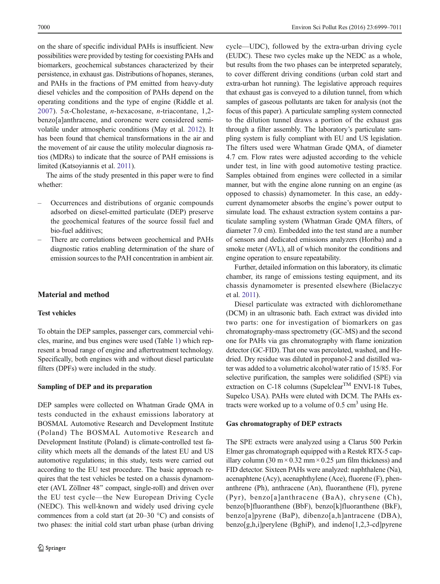on the share of specific individual PAHs is insufficient. New possibilities were provided by testing for coexisting PAHs and biomarkers, geochemical substances characterized by their persistence, in exhaust gas. Distributions of hopanes, steranes, and PAHs in the fractions of PM emitted from heavy-duty diesel vehicles and the composition of PAHs depend on the operating conditions and the type of engine (Riddle et al. [2007\)](#page-13-0). 5α-Cholestane, n-hexacosane, n-triacontane, 1,2 benzo[a]anthracene, and coronene were considered semivolatile under atmospheric conditions (May et al. [2012\)](#page-13-0). It has been found that chemical transformations in the air and the movement of air cause the utility molecular diagnosis ratios (MDRs) to indicate that the source of PAH emissions is limited (Katsoyiannis et al. [2011\)](#page-12-0).

The aims of the study presented in this paper were to find whether:

- Occurrences and distributions of organic compounds adsorbed on diesel-emitted particulate (DEP) preserve the geochemical features of the source fossil fuel and bio-fuel additives;
- There are correlations between geochemical and PAHs diagnostic ratios enabling determination of the share of emission sources to the PAH concentration in ambient air.

# Material and method

# Test vehicles

To obtain the DEP samples, passenger cars, commercial vehicles, marine, and bus engines were used (Table [1\)](#page-3-0) which represent a broad range of engine and aftertreatment technology. Specifically, both engines with and without diesel particulate filters (DPFs) were included in the study.

### Sampling of DEP and its preparation

DEP samples were collected on Whatman Grade QMA in tests conducted in the exhaust emissions laboratory at BOSMAL Automotive Research and Development Institute (Poland) The BOSMAL Automotive Research and Development Institute (Poland) is climate-controlled test facility which meets all the demands of the latest EU and US automotive regulations; in this study, tests were carried out according to the EU test procedure. The basic approach requires that the test vehicles be tested on a chassis dynamometer (AVL Zöllner 48^ compact, single-roll) and driven over the EU test cycle—the New European Driving Cycle (NEDC). This well-known and widely used driving cycle commences from a cold start (at 20–30 °C) and consists of two phases: the initial cold start urban phase (urban driving

cycle—UDC), followed by the extra-urban driving cycle (EUDC). These two cycles make up the NEDC as a whole, but results from the two phases can be interpreted separately, to cover different driving conditions (urban cold start and extra-urban hot running). The legislative approach requires that exhaust gas is conveyed to a dilution tunnel, from which samples of gaseous pollutants are taken for analysis (not the focus of this paper). A particulate sampling system connected to the dilution tunnel draws a portion of the exhaust gas through a filter assembly. The laboratory's particulate sampling system is fully compliant with EU and US legislation. The filters used were Whatman Grade QMA, of diameter 4.7 cm. Flow rates were adjusted according to the vehicle under test, in line with good automotive testing practice. Samples obtained from engines were collected in a similar manner, but with the engine alone running on an engine (as opposed to chassis) dynamometer. In this case, an eddycurrent dynamometer absorbs the engine's power output to simulate load. The exhaust extraction system contains a particulate sampling system (Whatman Grade QMA filters, of diameter 7.0 cm). Embedded into the test stand are a number of sensors and dedicated emissions analyzers (Horiba) and a smoke meter (AVL), all of which monitor the conditions and engine operation to ensure repeatability.

Further, detailed information on this laboratory, its climatic chamber, its range of emissions testing equipment, and its chassis dynamometer is presented elsewhere (Bielaczyc et al. [2011\)](#page-12-0).

Diesel particulate was extracted with dichloromethane (DCM) in an ultrasonic bath. Each extract was divided into two parts: one for investigation of biomarkers on gas chromatography-mass spectrometry (GC-MS) and the second one for PAHs via gas chromatography with flame ionization detector (GC-FID). That one was percolated, washed, and Hedried. Dry residue was diluted in propanol-2 and distilled water was added to a volumetric alcohol/water ratio of 15/85. For selective purification, the samples were solidified (SPE) via extraction on C-18 columns (Supelclear™ ENVI-18 Tubes, Supelco USA). PAHs were eluted with DCM. The PAHs extracts were worked up to a volume of  $0.5 \text{ cm}^3$  using He.

#### Gas chromatography of DEP extracts

The SPE extracts were analyzed using a Clarus 500 Perkin Elmer gas chromatograph equipped with a Restek RTX-5 capillary column (30 m  $\times$  0.32 mm  $\times$  0.25 µm film thickness) and FID detector. Sixteen PAHs were analyzed: naphthalene (Na), acenaphtene (Acy), acenaphthylene (Ace), fluorene (F), phenanthrene (Ph), anthracene (An), fluoranthene (Fl), pyrene (Pyr), benzo[a]anthracene (BaA), chrysene (Ch), benzo[b]fluoranthene (BbF), benzo[k]fluoranthene (BkF), benzo[a]pyrene (BaP), dibenzo[a,h]antracene (DBA), benzo[g,h,i]perylene (BghiP), and indeno[1,2,3-cd]pyrene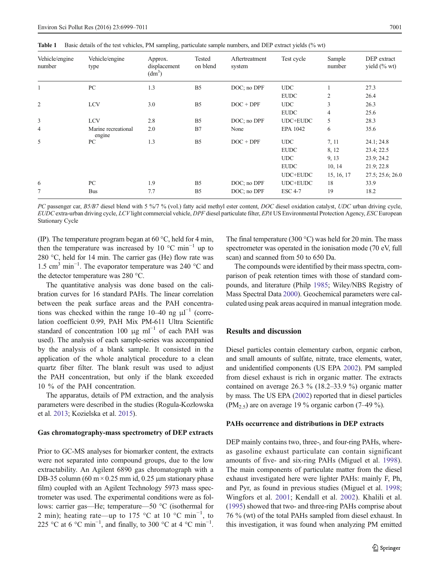<span id="page-3-0"></span>Table 1 Basic details of the test vehicles, PM sampling, particulate sample numbers, and DEP extract yields (% wt)

| Vehicle/engine<br>number | Vehicle/engine<br>type        | Approx.<br>displacement<br>(dm <sup>3</sup> ) | Tested<br>on blend | Aftertreatment<br>system | Test cycle     | Sample<br>number | DEP extract<br>yield $(\%$ wt) |
|--------------------------|-------------------------------|-----------------------------------------------|--------------------|--------------------------|----------------|------------------|--------------------------------|
|                          | PC                            | 1.3                                           | B <sub>5</sub>     | DOC; no DPF              | <b>UDC</b>     |                  | 27.3                           |
|                          |                               |                                               |                    |                          | <b>EUDC</b>    | $\overline{2}$   | 26.4                           |
| $\overline{2}$           | <b>LCV</b>                    | 3.0                                           | B <sub>5</sub>     | $DOC + DPF$              | <b>UDC</b>     | 3                | 26.3                           |
|                          |                               |                                               |                    |                          | <b>EUDC</b>    | 4                | 25.6                           |
| 3                        | <b>LCV</b>                    | 2.8                                           | B <sub>5</sub>     | DOC; no DPF              | UDC+EUDC       | 5                | 28.3                           |
| $\overline{4}$           | Marine recreational<br>engine | 2.0                                           | B7                 | None                     | EPA 1042       | 6                | 35.6                           |
| 5                        | PC                            | 1.3                                           | B <sub>5</sub>     | $DOC + DPF$              | <b>UDC</b>     | 7, 11            | 24.1; 24.8                     |
|                          |                               |                                               |                    |                          | <b>EUDC</b>    | 8, 12            | 23.4; 22.5                     |
|                          |                               |                                               |                    |                          | <b>UDC</b>     | 9, 13            | 23.9; 24.2                     |
|                          |                               |                                               |                    |                          | <b>EUDC</b>    | 10, 14           | 21.9; 22.8                     |
|                          |                               |                                               |                    |                          | UDC+EUDC       | 15, 16, 17       | $27.5$ ; $25.6$ ; $26.0$       |
| 6                        | PC                            | 1.9                                           | B <sub>5</sub>     | DOC; no DPF              | UDC+EUDC       | 18               | 33.9                           |
| 7                        | <b>Bus</b>                    | 7.7                                           | B <sub>5</sub>     | DOC; no DPF              | <b>ESC 4-7</b> | 19               | 18.2                           |

PC passenger car, B5/B7 diesel blend with 5 %/7 % (vol.) fatty acid methyl ester content, DOC diesel oxidation catalyst, UDC urban driving cycle, EUDC extra-urban driving cycle, LCV light commercial vehicle, DPF diesel particulate filter, EPA US Environmental Protection Agency, ESC European Stationary Cycle

(IP). The temperature program began at 60 °C, held for 4 min, then the temperature was increased by 10  $^{\circ}$ C min<sup>-1</sup> up to 280 °C, held for 14 min. The carrier gas (He) flow rate was 1.5 cm3 min−<sup>1</sup> . The evaporator temperature was 240 °C and the detector temperature was 280 °C.

The quantitative analysis was done based on the calibration curves for 16 standard PAHs. The linear correlation between the peak surface areas and the PAH concentrations was checked within the range 10–40 ng  $\mu$ l<sup>-1</sup> (correlation coefficient 0.99, PAH Mix PM-611 Ultra Scientific standard of concentration 100  $\mu$ g ml<sup>-1</sup> of each PAH was used). The analysis of each sample-series was accompanied by the analysis of a blank sample. It consisted in the application of the whole analytical procedure to a clean quartz fiber filter. The blank result was used to adjust the PAH concentration, but only if the blank exceeded 10 % of the PAH concentration.

The apparatus, details of PM extraction, and the analysis parameters were described in the studies (Rogula-Kozłowska et al. [2013](#page-13-0); Kozielska et al. [2015\)](#page-12-0).

#### Gas chromatography-mass spectrometry of DEP extracts

Prior to GC-MS analyses for biomarker content, the extracts were not separated into compound groups, due to the low extractability. An Agilent 6890 gas chromatograph with a DB-35 column (60 m  $\times$  0.25 mm id, 0.25 µm stationary phase film) coupled with an Agilent Technology 5973 mass spectrometer was used. The experimental conditions were as follows: carrier gas—He; temperature—50 °C (isothermal for 2 min); heating rate—up to 175 °C at 10 °C min<sup>-1</sup>, to 225 °C at 6 °C min<sup>-1</sup>, and finally, to 300 °C at 4 °C min<sup>-1</sup>.

The final temperature (300  $^{\circ}$ C) was held for 20 min. The mass spectrometer was operated in the ionisation mode (70 eV, full scan) and scanned from 50 to 650 Da.

The compounds were identified by their mass spectra, comparison of peak retention times with those of standard compounds, and literature (Philp [1985](#page-13-0); Wiley/NBS Registry of Mass Spectral Data [2000\)](#page-13-0). Geochemical parameters were calculated using peak areas acquired in manual integration mode.

# Results and discussion

Diesel particles contain elementary carbon, organic carbon, and small amounts of sulfate, nitrate, trace elements, water, and unidentified components (US EPA [2002\)](#page-13-0). PM sampled from diesel exhaust is rich in organic matter. The extracts contained on average 26.3 % (18.2–33.9 %) organic matter by mass. The US EPA [\(2002\)](#page-13-0) reported that in diesel particles  $(PM<sub>2.5</sub>)$  are on average 19 % organic carbon (7–49 %).

# PAHs occurrence and distributions in DEP extracts

DEP mainly contains two, three-, and four-ring PAHs, whereas gasoline exhaust particulate can contain significant amounts of five- and six-ring PAHs (Miguel et al. [1998](#page-13-0)). The main components of particulate matter from the diesel exhaust investigated here were lighter PAHs: mainly F, Ph, and Pyr, as found in previous studies (Miguel et al. [1998;](#page-13-0) Wingfors et al. [2001](#page-13-0); Kendall et al. [2002](#page-12-0)). Khalili et al. [\(1995\)](#page-12-0) showed that two- and three-ring PAHs comprise about 76 % (wt) of the total PAHs sampled from diesel exhaust. In this investigation, it was found when analyzing PM emitted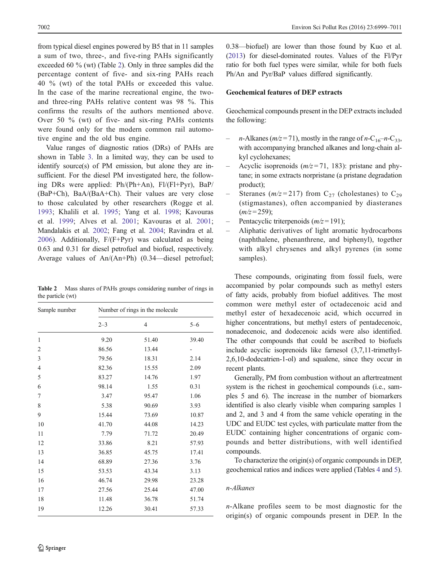from typical diesel engines powered by B5 that in 11 samples a sum of two, three-, and five-ring PAHs significantly exceeded 60 % (wt) (Table 2). Only in three samples did the percentage content of five- and six-ring PAHs reach 40 % (wt) of the total PAHs or exceeded this value. In the case of the marine recreational engine, the twoand three-ring PAHs relative content was 98 %. This confirms the results of the authors mentioned above. Over 50 % (wt) of five- and six-ring PAHs contents were found only for the modern common rail automotive engine and the old bus engine.

Value ranges of diagnostic ratios (DRs) of PAHs are shown in Table [3.](#page-5-0) In a limited way, they can be used to identify source(s) of PM emission, but alone they are insufficient. For the diesel PM investigated here, the following DRs were applied: Ph/(Ph+An), Fl/(Fl+Pyr), BaP/ (BaP+Ch), BaA/(BaA+Ch). Their values are very close to those calculated by other researchers (Rogge et al. [1993](#page-13-0); Khalili et al. [1995](#page-12-0); Yang et al. [1998;](#page-13-0) Kavouras et al. [1999](#page-12-0); Alves et al. [2001](#page-12-0); Kavouras et al. [2001](#page-12-0); Mandalakis et al. [2002](#page-12-0); Fang et al. [2004](#page-12-0); Ravindra et al. [2006](#page-13-0)). Additionally,  $F/(F+Pyr)$  was calculated as being 0.63 and 0.31 for diesel petrofuel and biofuel, respectively. Average values of An/(An+Ph) (0.34—diesel petrofuel;

Table 2 Mass shares of PAHs groups considering number of rings in the particle (wt)

| Sample number  | Number of rings in the molecule |       |         |  |  |  |  |  |
|----------------|---------------------------------|-------|---------|--|--|--|--|--|
|                | $2 - 3$                         | 4     | $5 - 6$ |  |  |  |  |  |
| 1              | 9.20                            | 51.40 | 39.40   |  |  |  |  |  |
| $\overline{2}$ | 86.56                           | 13.44 |         |  |  |  |  |  |
| 3              | 79.56                           | 18.31 | 2.14    |  |  |  |  |  |
| $\overline{4}$ | 82.36                           | 15.55 | 2.09    |  |  |  |  |  |
| 5              | 83.27                           | 14.76 | 1.97    |  |  |  |  |  |
| 6              | 98.14                           | 1.55  | 0.31    |  |  |  |  |  |
| 7              | 3.47                            | 95.47 | 1.06    |  |  |  |  |  |
| 8              | 5.38                            | 90.69 | 3.93    |  |  |  |  |  |
| 9              | 15.44                           | 73.69 | 10.87   |  |  |  |  |  |
| 10             | 41.70                           | 44.08 | 14.23   |  |  |  |  |  |
| 11             | 7.79                            | 71.72 | 20.49   |  |  |  |  |  |
| 12             | 33.86                           | 8.21  | 57.93   |  |  |  |  |  |
| 13             | 36.85                           | 45.75 | 17.41   |  |  |  |  |  |
| 14             | 68.89                           | 27.36 | 3.76    |  |  |  |  |  |
| 15             | 53.53                           | 43.34 | 3.13    |  |  |  |  |  |
| 16             | 46.74                           | 29.98 | 23.28   |  |  |  |  |  |
| 17             | 27.56                           | 25.44 | 47.00   |  |  |  |  |  |
| 18             | 11.48                           | 36.78 | 51.74   |  |  |  |  |  |
| 19             | 12.26                           | 30.41 | 57.33   |  |  |  |  |  |

0.38—biofuel) are lower than those found by Kuo et al. [\(2013\)](#page-12-0) for diesel-dominated routes. Values of the Fl/Pyr ratio for both fuel types were similar, while for both fuels Ph/An and Pyr/BaP values differed significantly.

# Geochemical features of DEP extracts

Geochemical compounds present in the DEP extracts included the following:

- *n*-Alkanes ( $m/z = 71$ ), mostly in the range of  $n-C_{16}-n-C_{33}$ , with accompanying branched alkanes and long-chain alkyl cyclohexanes;
- Acyclic isoprenoids  $(m/z = 71, 183)$ : pristane and phytane; in some extracts norpristane (a pristane degradation product);
- Steranes ( $m/z = 217$ ) from C<sub>27</sub> (cholestanes) to C<sub>29</sub> (stigmastanes), often accompanied by diasteranes  $(m/z = 259);$
- Pentacyclic triterpenoids  $(m/z = 191)$ ;
- Aliphatic derivatives of light aromatic hydrocarbons (naphthalene, phenanthrene, and biphenyl), together with alkyl chrysenes and alkyl pyrenes (in some samples).

These compounds, originating from fossil fuels, were accompanied by polar compounds such as methyl esters of fatty acids, probably from biofuel additives. The most common were methyl ester of octadecenoic acid and methyl ester of hexadecenoic acid, which occurred in higher concentrations, but methyl esters of pentadecenoic, nonadecenoic, and dodecenoic acids were also identified. The other compounds that could be ascribed to biofuels include acyclic isoprenoids like farnesol (3,7,11-trimethyl-2,6,10-dodecatrien-1-ol) and squalene, since they occur in recent plants.

Generally, PM from combustion without an aftertreatment system is the richest in geochemical compounds (i.e., samples 5 and 6). The increase in the number of biomarkers identified is also clearly visible when comparing samples 1 and 2, and 3 and 4 from the same vehicle operating in the UDC and EUDC test cycles, with particulate matter from the EUDC containing higher concentrations of organic compounds and better distributions, with well identified compounds.

To characterize the origin(s) of organic compounds in DEP, geochemical ratios and indices were applied (Tables [4](#page-6-0) and [5\)](#page-7-0).

#### n-Alkanes

n-Alkane profiles seem to be most diagnostic for the origin(s) of organic compounds present in DEP. In the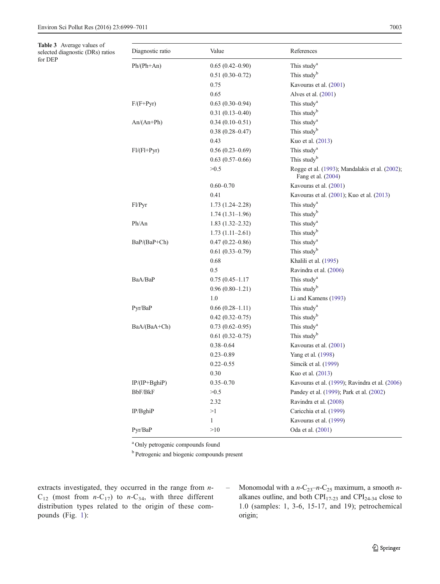<span id="page-5-0"></span>Table 3 Average values of selected diagnostic (DRs) ratios for DEP

| Diagnostic ratio       | Value               | References                                                           |
|------------------------|---------------------|----------------------------------------------------------------------|
| $Ph/(Ph+An)$           | $0.65(0.42 - 0.90)$ | This study <sup>a</sup>                                              |
|                        | $0.51(0.30-0.72)$   | This study <sup>b</sup>                                              |
|                        | 0.75                | Kavouras et al. (2001)                                               |
|                        | 0.65                | Alves et al. (2001)                                                  |
| $F/(F+Pyr)$            | $0.63(0.30-0.94)$   | This study <sup>a</sup>                                              |
|                        | $0.31(0.13-0.40)$   | This study <sup>b</sup>                                              |
| $An/(An+Ph)$           | $0.34(0.10-0.51)$   | This study <sup>a</sup>                                              |
|                        | $0.38(0.28 - 0.47)$ | This study <sup>b</sup>                                              |
|                        | 0.43                | Kuo et al. (2013)                                                    |
| $F1$ /( $F1$ + $Pyr$ ) | $0.56(0.23-0.69)$   | This study <sup>a</sup>                                              |
|                        | $0.63(0.57-0.66)$   | This study <sup>b</sup>                                              |
|                        | >0.5                | Rogge et al. (1993); Mandalakis et al. (2002);<br>Fang et al. (2004) |
|                        | $0.60 - 0.70$       | Kavouras et al. (2001)                                               |
|                        | 0.41                | Kavouras et al. (2001); Kuo et al. (2013)                            |
| Fl/Pyr                 | $1.73(1.24 - 2.28)$ | This study <sup>a</sup>                                              |
|                        | $1.74(1.31-1.96)$   | This study <sup>b</sup>                                              |
| Ph/An                  | $1.83(1.32 - 2.32)$ | This study <sup>a</sup>                                              |
|                        | $1.73(1.11-2.61)$   | This study <sup>b</sup>                                              |
| $BaP/(BaP+Ch)$         | $0.47(0.22 - 0.86)$ | This study <sup>a</sup>                                              |
|                        | $0.61(0.33 - 0.79)$ | This study <sup>b</sup>                                              |
|                        | 0.68                | Khalili et al. (1995)                                                |
|                        | 0.5                 | Ravindra et al. (2006)                                               |
| BaA/BaP                | $0.75(0.45 - 1.17)$ | This study <sup>a</sup>                                              |
|                        | $0.96(0.80-1.21)$   | This study <sup>b</sup>                                              |
|                        | 1.0                 | Li and Kamens (1993)                                                 |
| Pyr/BaP                | $0.66(0.28-1.11)$   | This study <sup>a</sup>                                              |
|                        | $0.42(0.32-0.75)$   | This study <sup>b</sup>                                              |
| $BaA/(BaA+Ch)$         | $0.73(0.62 - 0.95)$ | This study <sup>a</sup>                                              |
|                        | $0.61(0.32 - 0.75)$ | This study <sup>b</sup>                                              |
|                        | $0.38 - 0.64$       | Kavouras et al. (2001)                                               |
|                        | $0.23 - 0.89$       | Yang et al. (1998)                                                   |
|                        | $0.22 - 0.55$       | Simcik et al. (1999)                                                 |
|                        | 0.30                | Kuo et al. (2013)                                                    |
| $IP/(IP+BghiP)$        | $0.35 - 0.70$       | Kavouras et al. (1999); Ravindra et al. (2006)                       |
| BbF/BkF                | >0.5                | Pandey et al. (1999); Park et al. (2002)                             |
|                        | 2.32                | Ravindra et al. (2008)                                               |
| IP/BghiP               | >1                  | Caricchia et al. (1999)                                              |
|                        | $\mathbf{1}$        | Kavouras et al. (1999)                                               |
| Pyr/BaP                | $>10$               | Oda et al. (2001)                                                    |

<sup>a</sup> Only petrogenic compounds found

<sup>b</sup> Petrogenic and biogenic compounds present

extracts investigated, they occurred in the range from n- $C_{12}$  (most from  $n-C_{17}$ ) to  $n-C_{34}$ , with three different distribution types related to the origin of these compounds (Fig. [1\)](#page-8-0):

– Monomodal with a  $n-C_{23}-n-C_{25}$  maximum, a smooth  $n$ alkanes outline, and both  $\text{CPI}_{17-23}$  and  $\text{CPI}_{24-34}$  close to 1.0 (samples: 1, 3-6, 15-17, and 19); petrochemical origin;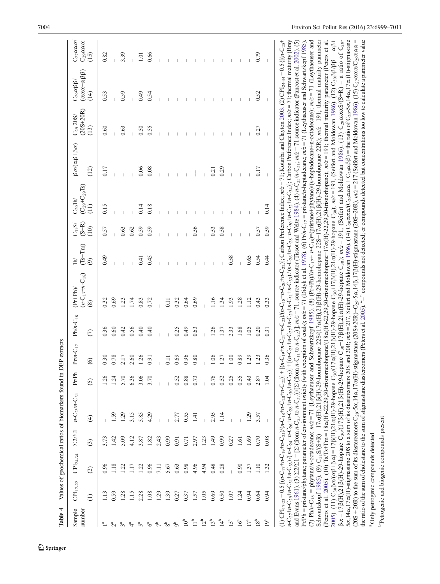<span id="page-6-0"></span>

| 4<br>Table                               |               |                             |                        | Values of geochemical ratios of biomarkers found in                                                                                                                                                                                                                                                                                                                   |          | DEP extracts     |               |                                                                                                                                                                                                                                                                                                                                                                                                                                                                                                                                                                                                                                                                                                                                                                                                                                                                   |                         |                      |                                |                                              |                                         |                                                                        |                                                               |
|------------------------------------------|---------------|-----------------------------|------------------------|-----------------------------------------------------------------------------------------------------------------------------------------------------------------------------------------------------------------------------------------------------------------------------------------------------------------------------------------------------------------------|----------|------------------|---------------|-------------------------------------------------------------------------------------------------------------------------------------------------------------------------------------------------------------------------------------------------------------------------------------------------------------------------------------------------------------------------------------------------------------------------------------------------------------------------------------------------------------------------------------------------------------------------------------------------------------------------------------------------------------------------------------------------------------------------------------------------------------------------------------------------------------------------------------------------------------------|-------------------------|----------------------|--------------------------------|----------------------------------------------|-----------------------------------------|------------------------------------------------------------------------|---------------------------------------------------------------|
| Sample<br>number                         | $CPI_{17-22}$ | $\text{CPI}_{24\text{-}34}$ | $\Sigma$ 2/ $\Sigma$ 1 | $n-C_{23}/n-C_{31}$                                                                                                                                                                                                                                                                                                                                                   | Pr/Ph    | $Pr/n-C_{17}$    | $Ph/n-C_{18}$ | $(n-C_{17}+n-C_{18})$<br>$(Pr+Ph)$                                                                                                                                                                                                                                                                                                                                                                                                                                                                                                                                                                                                                                                                                                                                                                                                                                | $(Ts+Tm)$               | $C_{31}S$<br>$(S+R)$ | $\mathrm{C}_2$ gTs/            | $\beta \alpha/(\alpha \beta + \beta \alpha)$ | $(20S + 20R)$<br>$\mathrm{C}_{29}$ 20S/ | $(\alpha\alpha\alpha+\alpha\beta\beta)$<br>$C_{29} \alpha \beta \beta$ | $\mathsf{C}_\mathsf{27}$ ααα/<br>$\mathsf{C}_\mathsf{29}$ ααα |
|                                          | $\ominus$     | $\widehat{\infty}$          | $\odot$                | $\bigoplus$                                                                                                                                                                                                                                                                                                                                                           | <u>ර</u> | $\odot$          | $\widehat{C}$ | $\circledS$                                                                                                                                                                                                                                                                                                                                                                                                                                                                                                                                                                                                                                                                                                                                                                                                                                                       | $\widehat{\mathcal{O}}$ | (10)                 | $(C_{29} + C_{29}$ Ts)<br>(11) | (12)                                         | (13)                                    | (14)                                                                   | (15)                                                          |
|                                          | 1.13          | 0.96                        | 3.73                   |                                                                                                                                                                                                                                                                                                                                                                       | 1.26     | 0.30             | 0.36          | 0.32                                                                                                                                                                                                                                                                                                                                                                                                                                                                                                                                                                                                                                                                                                                                                                                                                                                              | 64.0                    | 0.57                 | 0.15                           | 0.17                                         | 0.60                                    | 0.53                                                                   | 0.82                                                          |
| $\tilde{\sim}$                           | 0.59          | 1.18                        | 1.42                   | 1.59                                                                                                                                                                                                                                                                                                                                                                  | 1.24     | 0.78             | 0.60          | 0.69                                                                                                                                                                                                                                                                                                                                                                                                                                                                                                                                                                                                                                                                                                                                                                                                                                                              |                         |                      |                                |                                              |                                         |                                                                        |                                                               |
| ್ಲೆ                                      | 1.28          | $\overline{5}$              | 5.09                   | 1.29                                                                                                                                                                                                                                                                                                                                                                  | 5.70     | 2.17             | 0.42          | $\overline{c}$                                                                                                                                                                                                                                                                                                                                                                                                                                                                                                                                                                                                                                                                                                                                                                                                                                                    |                         | 0.63                 |                                |                                              | 0.63                                    | 0.59                                                                   | 3.39                                                          |
| $\ddot{4}$                               | 1.15          | 1.17                        | 4.12                   | 3.15                                                                                                                                                                                                                                                                                                                                                                  | 6.36     | 2.60             | 0.56          | $\overline{5}$                                                                                                                                                                                                                                                                                                                                                                                                                                                                                                                                                                                                                                                                                                                                                                                                                                                    |                         | 0.62                 |                                |                                              |                                         |                                                                        |                                                               |
| $\mathbf{S}^a$                           | 2.28          | 1.22                        | 3.87                   | 5.85                                                                                                                                                                                                                                                                                                                                                                  | 3.06     | 1.26             | 0.40          | 0.83                                                                                                                                                                                                                                                                                                                                                                                                                                                                                                                                                                                                                                                                                                                                                                                                                                                              | 0.41                    | 0.59                 | 0.14                           | 0.06                                         | 0.50                                    | 64.0                                                                   | 1.01                                                          |
| $6^a$                                    | 1.08          | 0.96                        | 1.82                   | 4.29                                                                                                                                                                                                                                                                                                                                                                  | 3.70     | 0.91             | 0.40          | 0.72                                                                                                                                                                                                                                                                                                                                                                                                                                                                                                                                                                                                                                                                                                                                                                                                                                                              | 645                     | 0.59                 | 0.18                           | 0.08                                         | 0.55                                    | 0.54                                                                   | 0.66                                                          |
| $\tau$                                   | 1.29          | 7.11                        | 2.43                   |                                                                                                                                                                                                                                                                                                                                                                       |          |                  |               |                                                                                                                                                                                                                                                                                                                                                                                                                                                                                                                                                                                                                                                                                                                                                                                                                                                                   |                         |                      |                                |                                              |                                         |                                                                        |                                                               |
| 8 <sup>b</sup>                           | 1.39          | 5.67                        | 0.99                   |                                                                                                                                                                                                                                                                                                                                                                       |          | $\overline{0}$ . |               | $\overline{0}$ .                                                                                                                                                                                                                                                                                                                                                                                                                                                                                                                                                                                                                                                                                                                                                                                                                                                  |                         |                      |                                |                                              |                                         |                                                                        |                                                               |
| ್                                        | 0.27          | 0.63                        | 0.91                   | 2.77                                                                                                                                                                                                                                                                                                                                                                  | 0.52     | 0.69             | 0.25          | 0.32                                                                                                                                                                                                                                                                                                                                                                                                                                                                                                                                                                                                                                                                                                                                                                                                                                                              |                         |                      |                                |                                              |                                         |                                                                        |                                                               |
| 10 <sup>b</sup>                          | 0.37          | 0.98                        | 0.71                   | 0.55                                                                                                                                                                                                                                                                                                                                                                  | 0.88     | 0.96             | 0.49          | 0.64                                                                                                                                                                                                                                                                                                                                                                                                                                                                                                                                                                                                                                                                                                                                                                                                                                                              |                         |                      |                                |                                              |                                         |                                                                        |                                                               |
| 11 <sup>b</sup>                          | 1.57          | 4.96                        | 2.97                   | $\overline{141}$                                                                                                                                                                                                                                                                                                                                                      | 0.73     | 0.80             | 0.63          | 0.69                                                                                                                                                                                                                                                                                                                                                                                                                                                                                                                                                                                                                                                                                                                                                                                                                                                              |                         | 0.56                 |                                |                                              |                                         |                                                                        |                                                               |
| $\frac{1}{2}$ $\frac{1}{2}$ <sup>b</sup> | 1.05          | 4.94                        | 1.23                   |                                                                                                                                                                                                                                                                                                                                                                       |          |                  |               |                                                                                                                                                                                                                                                                                                                                                                                                                                                                                                                                                                                                                                                                                                                                                                                                                                                                   |                         | $\overline{1}$       |                                |                                              |                                         |                                                                        |                                                               |
|                                          | 0.69          | 0.48                        | 1.49                   | 2.95                                                                                                                                                                                                                                                                                                                                                                  | 0.76     | 1.06             | 1.26          | 1.16                                                                                                                                                                                                                                                                                                                                                                                                                                                                                                                                                                                                                                                                                                                                                                                                                                                              |                         | 0.53                 |                                | 0.21                                         |                                         |                                                                        |                                                               |
| $14^b$                                   | 0.50          | 0.28                        | 0.99                   | 1.14                                                                                                                                                                                                                                                                                                                                                                  | 0.52     | 1.27             | 1.37          | 1.34                                                                                                                                                                                                                                                                                                                                                                                                                                                                                                                                                                                                                                                                                                                                                                                                                                                              |                         | 0.58                 |                                | 0.29                                         |                                         |                                                                        |                                                               |
| $\sum_{a}$                               | 1.07          |                             | 0.27                   |                                                                                                                                                                                                                                                                                                                                                                       | 0.25     | 00.1             | 2.33          | $\frac{1}{2}$                                                                                                                                                                                                                                                                                                                                                                                                                                                                                                                                                                                                                                                                                                                                                                                                                                                     | 0.58                    |                      |                                |                                              |                                         |                                                                        |                                                               |
| $16^a$                                   | 1.24          | 0.90                        | 1.61                   |                                                                                                                                                                                                                                                                                                                                                                       | 0.55     | 0.89             | 1.68          | $\frac{0.28}{0.28}$                                                                                                                                                                                                                                                                                                                                                                                                                                                                                                                                                                                                                                                                                                                                                                                                                                               |                         |                      |                                |                                              |                                         |                                                                        |                                                               |
| $17^a$                                   | 0.94          | 1.37                        | 1,69                   | 1.29                                                                                                                                                                                                                                                                                                                                                                  | 0.43     | $\overline{c}$   | 1.05          | $\frac{12}{2}$                                                                                                                                                                                                                                                                                                                                                                                                                                                                                                                                                                                                                                                                                                                                                                                                                                                    | 0.65                    |                      |                                |                                              |                                         |                                                                        |                                                               |
| $18^{\rm b}$                             | 0.64          | 1.10                        | 0.70                   | 3.57                                                                                                                                                                                                                                                                                                                                                                  | 2.87     | 1.23             | 0.20          | 0.43                                                                                                                                                                                                                                                                                                                                                                                                                                                                                                                                                                                                                                                                                                                                                                                                                                                              | 0.54                    | 0.57                 |                                | 0.17                                         | 0.27                                    | 0.52                                                                   | 0.79                                                          |
| $19^a$                                   | 0.94          | 1.32                        | 0.08                   | $\begin{array}{c} \hline \end{array}$                                                                                                                                                                                                                                                                                                                                 | 1.04     | 0.36             | 0.31          | 0.33                                                                                                                                                                                                                                                                                                                                                                                                                                                                                                                                                                                                                                                                                                                                                                                                                                                              | 0.44                    | 0.59                 | 0.14                           | T                                            |                                         |                                                                        |                                                               |
|                                          |               |                             |                        | $n$ -C <sub>27</sub> +n-C <sub>3</sub> +n-C <sub>31</sub> +n-C <sub>33</sub> ) ((n-C <sub>26</sub> +n-C <sub>26</sub> +n-C <sub>38</sub> +n-C <sub>30</sub> +n-C <sub>32</sub> )]<br>$Pr(\text{Ph} = \text{pristance}/\text{phytane})$ ; parameter of environment oxicity (with<br>$(1)$ CPI <sub>17-23</sub> = 0.5 $(irC_1 + nC_1 + nC_2)$ $(irC_2 + nC_3 + nC_2)$ + |          |                  |               | $[(n-C_{11}+n-C_{21})(n-C_{12}+(n-C_{13}+n-C_{20}+n-C_{22})]$ ; Carbon Preference Index; $m/z = 71$ ; Kotarba and Clayton 2003. (2) CP1 <sub>24-34</sub> = 0.5 $\{[(n-C_{23}+(n-C_{23}+n-C_{23}+n-C_{23}+n-C_{23}+n-C_{23}+n-C_{23}+n-C_{23}+n-C_{23}+n-C_{23}+n-C_{23}+n-C_{23}+n-C_{23$<br>+ $[(n-C_{25}+n-C_{33}+n-C_{33})/(n-C_{26}+n-C_{26}+n-C_{28})/(n-C_{27}+n-C_{32})]$ ; Carbon Preference Index; $m/z = 71$ ; thermal maturity (Bray<br>and Evans 1961). (3) $\Sigma 22/21 = [\Sigma (from n-C_2,to n-C_2,to n-C_2)]/[\Sigma (from n-C_{1,1} to n-C_2)]$ ; $m/z = 71$ , source indicator (Tissot and Welte 1984). (4) $n-C_2/n-C_3$ ; $m/z = 71$ source indicator (Pancost et al. 2002). (5)<br>exception of coals); $m/z = 71$ (Didyk et al. 1978). (6) Pr/n-C <sub>17</sub> = pristane/n-heptadecane; $m/z = 71$ (Leythaeuser and Schwartzkopf 1985) |                         |                      |                                |                                              |                                         |                                                                        |                                                               |
|                                          |               |                             |                        | (7) Ph/n-C <sub>18</sub> = phytane/n-octadecane; $m/z = 71$ (Leythaeuser an                                                                                                                                                                                                                                                                                           |          |                  |               | nd Schwartzkopf 1985). (8) $(\text{Pr+Ph}/n\text{-C}_{17} + n\text{-C}_{18})$ =(pristane+phytane)/(n-heptadecane+n-octadecane); $m/z = 71$ (Leythaeuser and                                                                                                                                                                                                                                                                                                                                                                                                                                                                                                                                                                                                                                                                                                       |                         |                      |                                |                                              |                                         |                                                                        |                                                               |

(2008 + 2008) to the sum of its diastereomers C<sub>29</sub>-5 os,14x,17 os(H)-stigmastane (208+20R) +C<sub>29</sub>-5 os,14β,17  $\beta$ (H)-stigmastane (208+200R), *m/z* = 217 (Seifert and Moldowan 1986). (15) C<sub>27</sub> os os  $\alpha =$ the ratio of the sum of cholestane to the sum of stigmastane diastereomers (Peters et al. 2005), "<sup>4-</sup>" compounds not detected; or compounds detected but concentrations too low to calculate a parameter value Schwartzkopf 1985). (9) C<sub>31</sub>S/(S+R)=17α(H),21β(H)-29-homohopane 22S/(17α(H),21β(H)-29-homohopane 22S+17α(H),21β(H)-29-homohopane 22R); m/z=191; thermal maturity parameter Schwartzkopf [1985](#page-12-0)). (9) C<sub>31</sub>S/(S+R) = 17α(H),21β(H)-29-homohopane 22S/(17α(H),229-homohopane 22S+17α(H),21β(H)-29-homohopane 22R); m/z = 191; thermal maturity parameter Peters et al. 2005). (10) Ts/Ts+Tm = 18 $\alpha$ (H)-22,29,30-trisnomeohopane(18 $\alpha$ (H)-22,29,30-trisnomeohopane+17 $\alpha$ (H)-22,29,30-trisnomeopane);  $m/z = 191$ ; thermal maturity parameter (Peters et al. 2005). (11) C<sub>30</sub>βα/(αβ+βα) = 17β(H),21α(H)-29-hopane C<sub>30</sub>/(17α(H),21β(H)-29-hopane C<sub>30</sub>+17β(H),21α(H)-29-hopane C<sub>30</sub>); m/z = 191, (Seifert and Moldowan 1986). (12) C<sub>30</sub>ββββ + αβ+ [2005\)](#page-13-0). (11) C30βα/(αβ+βα) = 17β(H),21α(H)-29-hopane C30/(17α(H),21β(H)-29-hopane C30+17β(H),21α(H)-29-hopane C30); m/z = 191, (Seifert and Moldowan [1986\)](#page-13-0). (12) C30ββ/ββ + αβ+  $\beta\alpha = 17\beta(H)$ ,21 $\beta(H)$ -29-hopane C<sub>30</sub> $/(17\beta(H)$ ,21 $\beta(H)$ -29-hopane C<sub>30</sub>+17 $\beta(H)$ ,21 $\alpha(H)$ -29-hopane C<sub>30</sub>);  $m/z = 191$ , (Seifert and Moldowan 1986). (13) C<sub>29</sub> $\alpha\alpha\alpha S/(S+R) = \alpha$  ratio of C<sub>29</sub>-βα = 17β(H),21β(H)-29-hopane C<sub>30</sub>/(17β(H),21β(H)-29-hopane C<sub>30</sub>+17β(H),221α(H)-29-hopane C<sub>30</sub>); m/z = 191, (Seifert and Moldowan [1986\)](#page-13-0). (13) C<sub>29</sub>αααS/(S+R) = a ratio of C<sub>29</sub>- $5\alpha$ ,14 $\alpha$ ,17 $\alpha$ (H)-stigmastane 20S to a sum of its diastereomers 20S and 20R;  $m/z = 217$ , Seifert and Moldowan 1986). (14)  $C_{29}$  $\alpha \alpha \alpha \nu$  +  $C_{29}$  $\alpha \beta \beta$ ) = the ratio of  $C_{29}$ -5 $\alpha$ ,14 $\alpha$ ,17 $\alpha$  (H)-stigmastane 5α,14α,17α(H)-stigmastane 20S to a sum of its diastereomers 20S and 20R; m/z = 217, Seifert and Moldowan [1986\)](#page-13-0). (14) C<sub>29</sub>ααα + C<sub>29</sub>αββ) = the ratio of C<sub>29</sub>-5α,14α,17α (H)-stigmastane (20S + 20R) to the sum of its diastereomers C<sub>29</sub>-5α,14α,17α(H)-stigmastane (20S+20R)+C<sub>29</sub>-5α,14β,17β(H)-stigmastane (20S+20R), m/z = 217 (Seifert and Moldowan [1986\)](#page-13-0). (15) C<sub>27</sub>ααα/C<sub>29</sub>ααα = the ratio of the sum of cholestane to the sum of stigmastane diastereomers (Peters et al. [2005\)](#page-13-0). '-- " compounds not detected; or compounds detected but concentrations too low to calculate a parameter value (Peters et al. [2005\)](#page-13-0). (10) Ts/Ts+Tm = 18α(H)-22,29,30-trisnorneohopane/(18α(H)-22,29,30-trisnorneohopane+17α(H)-22,29,30-trisnorhopane); m/z = 191; thermal maturity parameter (Peters et al. <sup>a</sup>Only petrogenic compounds detected Only petrogenic compounds detected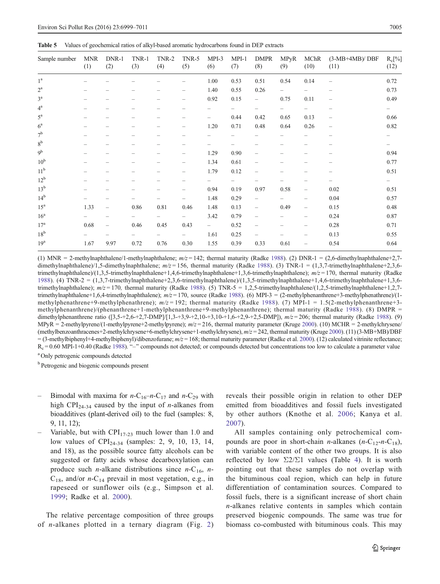<span id="page-7-0"></span>Table 5 Values of geochemical ratios of alkyl-based aromatic hydrocarbons found in DEP extracts

| Sample number   | <b>MNR</b><br>(1) | DNR-1<br>(2)             | TNR-1<br>(3) | TNR-2<br>(4) | TNR-5<br>(5)             | MPI-3<br>(6)             | $MPI-1$<br>(7)           | <b>DMPR</b><br>(8)       | <b>MPyR</b><br>(9)       | MChR<br>(10)             | $(3-MB+4MB)/DBF$<br>(11) | $R_c[\%]$<br>(12)        |
|-----------------|-------------------|--------------------------|--------------|--------------|--------------------------|--------------------------|--------------------------|--------------------------|--------------------------|--------------------------|--------------------------|--------------------------|
| 1 <sup>a</sup>  |                   |                          |              |              |                          | 1.00                     | 0.53                     | 0.51                     | 0.54                     | 0.14                     |                          | 0.72                     |
| $2^{\rm a}$     |                   |                          |              |              | $\overline{\phantom{0}}$ | 1.40                     | 0.55                     | 0.26                     | $\overline{\phantom{0}}$ | $\overline{\phantom{0}}$ |                          | 0.73                     |
| 3 <sup>a</sup>  |                   |                          |              |              | -                        | 0.92                     | 0.15                     |                          | 0.75                     | 0.11                     | -                        | 0.49                     |
| $4^{\rm a}$     |                   |                          |              |              |                          |                          |                          | $\overline{\phantom{0}}$ | -                        | $\overline{\phantom{0}}$ |                          | $\overline{\phantom{a}}$ |
| $5^{\rm a}$     |                   |                          |              |              |                          |                          | 0.44                     | 0.42                     | 0.65                     | 0.13                     | $\overline{\phantom{0}}$ | 0.66                     |
| $6^{\rm a}$     |                   |                          |              |              | -                        | 1.20                     | 0.71                     | 0.48                     | 0.64                     | 0.26                     | $\qquad \qquad -$        | 0.82                     |
| $7^{\rm b}$     |                   |                          |              |              |                          |                          |                          |                          |                          |                          |                          | $\overline{\phantom{0}}$ |
| 8 <sup>b</sup>  |                   |                          |              |              |                          |                          |                          |                          |                          |                          |                          | $\qquad \qquad -$        |
| $9^b$           |                   |                          |              |              | -                        | 1.29                     | 0.90                     | $\overline{\phantom{0}}$ |                          |                          | $\overline{\phantom{0}}$ | 0.94                     |
| 10 <sup>b</sup> |                   |                          |              |              | -                        | 1.34                     | 0.61                     | -                        |                          |                          |                          | 0.77                     |
| 11 <sup>b</sup> |                   |                          |              |              | $\overline{\phantom{0}}$ | 1.79                     | 0.12                     |                          |                          |                          |                          | 0.51                     |
| $12^{\rm b}$    |                   |                          |              |              |                          | $\overline{\phantom{0}}$ | $\overline{\phantom{0}}$ |                          |                          |                          |                          | $\overline{\phantom{0}}$ |
| $13^{\rm b}$    |                   |                          |              |              | $\overline{\phantom{0}}$ | 0.94                     | 0.19                     | 0.97                     | 0.58                     | $\overline{\phantom{0}}$ | 0.02                     | 0.51                     |
| $14^{b}$        |                   |                          |              |              | $\overline{\phantom{0}}$ | 1.48                     | 0.29                     |                          |                          | -                        | 0.04                     | 0.57                     |
| $15^{\rm a}$    | 1.33              | $\overline{\phantom{0}}$ | 0.86         | 0.81         | 0.46                     | 1.48                     | 0.13                     |                          | 0.49                     | $\overline{\phantom{0}}$ | 0.15                     | 0.48                     |
| $16^{\rm a}$    |                   | $\overline{\phantom{0}}$ |              | -            | $\overline{\phantom{0}}$ | 3.42                     | 0.79                     | $\overline{\phantom{0}}$ |                          | -                        | 0.24                     | 0.87                     |
| $17^{\rm a}$    | 0.68              | $\qquad \qquad -$        | 0.46         | 0.45         | 0.43                     | $\overline{\phantom{m}}$ | 0.52                     | -                        |                          | -                        | 0.28                     | 0.71                     |
| $18^{\rm b}$    |                   |                          |              |              |                          | 1.61                     | 0.25                     |                          |                          |                          | 0.13                     | 0.55                     |
| 19 <sup>a</sup> | 1.67              | 9.97                     | 0.72         | 0.76         | 0.30                     | 1.55                     | 0.39                     | 0.33                     | 0.61                     |                          | 0.54                     | 0.64                     |

(1) MNR = 2-methylnaphthalene/1-methylnaphthalene;  $m/z = 142$ ; thermal maturity (Radke [1988\)](#page-13-0). (2) DNR-1 = (2,6-dimethylnaphthalene+2,7dimethylnaphthalene)/1,5-dimethylnaphthalene;  $m/z = 156$ , thermal maturity (Radke [1988\)](#page-13-0). (3) TNR-1 = (1,3,7-trimethylnaphthalene+2,3,6trimethylnaphthalene)/(1,3,5-trimethylnaphthalene+1,4,6-trimethylnaphthalene+1,3,6-trimethylnaphthalene); m/z = 170, thermal maturity (Radke [1988](#page-13-0)). (4) TNR-2 = (1,3,7-trimethylnaphthalene+2,3,6-trimethylnaphthalene)/(1,3,5-trimethylnaphthalene+1,4,6-trimethylnaphthalene+1,3,6 trimethylnaphthalene);  $m/z = 170$ , thermal maturity (Radke [1988\)](#page-13-0). (5) TNR-5 = 1,2,5-trimethylnaphthalene/(1,2,5-trimethylnaphthalene+1,2,7trimethylnaphthalene+1,6,4-trimethylnaphthalene);  $m/z = 170$ , source (Radke [1988](#page-13-0)). (6) MPI-3 = (2-methylphenathrene+3-methylphenathrene)/(1methylphenathrene+9-methylphenathrene);  $m/z = 192$ ; thermal maturity (Radke [1988](#page-13-0)). (7) MPI-1 = 1.5(2-methylphenanthrene+3methylphenanthrene)/(phenanthrene+1-methylphenanthrene+9-methylphenanthrene); thermal maturity (Radke [1988\)](#page-13-0). (8) DMPR = dimethylphenanthrene ratio ( $[3,5-+2,6-+2,7-$ DMP]/[1,3-+3,9-+2,10-+3,10-+1,6-+2,9-+2,5-DMP]),  $m/z = 206$ ; thermal maturity (Radke [1988\)](#page-13-0). (9) MPyR = 2-methylpyrene/(1-methylpyrene+2-methylpyrene);  $m/z = 216$ , thermal maturity parameter (Kruge [2000\)](#page-12-0). (10) MCHR = 2-methylchrysene/ (methylbenzoanthracenes+2-methylchrysene+6-methylchrysene+1-methylchrysene), m/z = 242, thermal maturity (Kruge [2000](#page-12-0)). (11) (3-MB+MB)/DBF  $=$  (3-methylbiphenyl+4-methylbiphenyl)/dibenzofurane;  $m/z$  = 168; thermal maturity parameter (Radke et al. [2000](#page-13-0)). (12) calculated vitrinite reflectance;  $R_c = 0.60 \text{ MPI-1}+0.40 \text{ (Radke 1988)}.$  $R_c = 0.60 \text{ MPI-1}+0.40 \text{ (Radke 1988)}.$  $R_c = 0.60 \text{ MPI-1}+0.40 \text{ (Radke 1988)}.$  "-" compounds not detected; or compounds detected but concentrations too low to calculate a parameter value

<sup>a</sup> Only petrogenic compounds detected

<sup>b</sup> Petrogenic and biogenic compounds present

- Bimodal with maxima for  $n-C_{16}-n-C_{17}$  and  $n-C_{29}$  with high CPI<sub>24-34</sub> caused by the input of *n*-alkanes from bioadditives (plant-derived oil) to the fuel (samples: 8, 9, 11, 12);
- Variable, but with  $\text{CPI}_{17-23}$  much lower than 1.0 and low values of  $\text{CPI}_{24-34}$  (samples: 2, 9, 10, 13, 14, and 18), as the possible source fatty alcohols can be suggested or fatty acids whose decarboxylation can produce such *n*-alkane distributions since *n*-C<sub>16</sub>, *n*- $C_{18}$ , and/or *n*-C<sub>14</sub> prevail in most vegetation, e.g., in rapeseed or sunflower oils (e.g., Simpson et al. [1999;](#page-13-0) Radke et al. [2000\)](#page-13-0).

The relative percentage composition of three groups of *n*-alkanes plotted in a ternary diagram (Fig. [2\)](#page-8-0) reveals their possible origin in relation to other DEP emitted from bioadditives and fossil fuels investigated by other authors (Knothe et al. [2006;](#page-12-0) Kanya et al. [2007](#page-12-0)).

All samples containing only petrochemical compounds are poor in short-chain *n*-alkanes  $(n-C_{12}-n-C_{18})$ , with variable content of the other two groups. It is also reflected by low  $\Sigma 2/\Sigma 1$  values (Table [4](#page-6-0)). It is worth pointing out that these samples do not overlap with the bituminous coal region, which can help in future differentiation of contamination sources. Compared to fossil fuels, there is a significant increase of short chain n-alkanes relative contents in samples which contain preserved biogenic compounds. The same was true for biomass co-combusted with bituminous coals. This may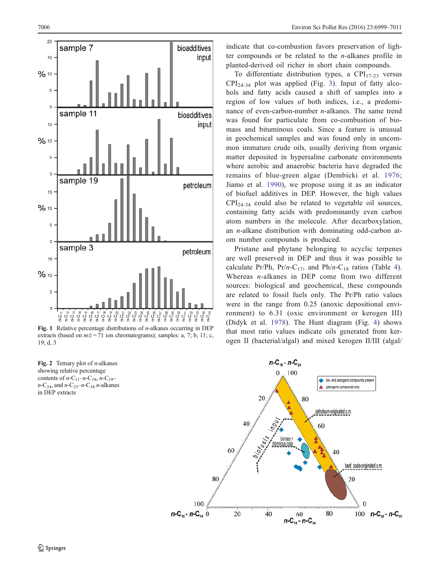<span id="page-8-0"></span>

Fig. 1 Relative percentage distributions of  $n$ -alkanes occurring in DEP extracts (based on  $m/z = 71$  ion chromatograms); samples: a, 7; b, 11; c, 19; d, 3

Fig. 2 Ternary plot of  $n$ -alkanes showing relative percentage contents of  $n - C_{11} - n - C_{18}$ ,  $n - C_{19}$  $n-C_{24}$ , and  $n-C_{25}-n-C_{38}$  n-alkanes in DEP extracts

indicate that co-combustion favors preservation of lighter compounds or be related to the  $n$ -alkanes profile in planted-derived oil richer in short chain compounds.

To differentiate distribution types, a  $\text{CPI}_{17-23}$  versus  $\text{CPI}_{24-34}$  $\text{CPI}_{24-34}$  $\text{CPI}_{24-34}$  plot was applied (Fig. 3). Input of fatty alcohols and fatty acids caused a shift of samples into a region of low values of both indices, i.e., a predominance of even-carbon-number  $n$ -alkanes. The same trend was found for particulate from co-combustion of biomass and bituminous coals. Since a feature is unusual in geochemical samples and was found only in uncommon immature crude oils, usually deriving from organic matter deposited in hypersaline carbonate environments where aerobic and anaerobic bacteria have degraded the remains of blue-green algae (Dembicki et al. [1976;](#page-12-0) Jiamo et al. [1990](#page-12-0)), we propose using it as an indicator of biofuel additives in DEP. However, the high values  $\text{CPI}_{24-34}$  could also be related to vegetable oil sources, containing fatty acids with predominantly even carbon atom numbers in the molecule. After decarboxylation, an n-alkane distribution with dominating odd-carbon atom number compounds is produced.

Pristane and phytane belonging to acyclic terpenes are well preserved in DEP and thus it was possible to calculate Pr/Ph,  $Pr/n-C_{17}$ , and  $Ph/n-C_{18}$  ratios (Table [4](#page-6-0)). Whereas n-alkanes in DEP come from two different sources: biological and geochemical, these compounds are related to fossil fuels only. The Pr/Ph ratio values were in the range from 0.25 (anoxic depositional environment) to 6.31 (oxic environment or kerogen III) (Didyk et al. [1978\)](#page-12-0). The Hunt diagram (Fig. [4\)](#page-9-0) shows that most ratio values indicate oils generated from kerogen II (bacterial/algal) and mixed kerogen II/III (algal/

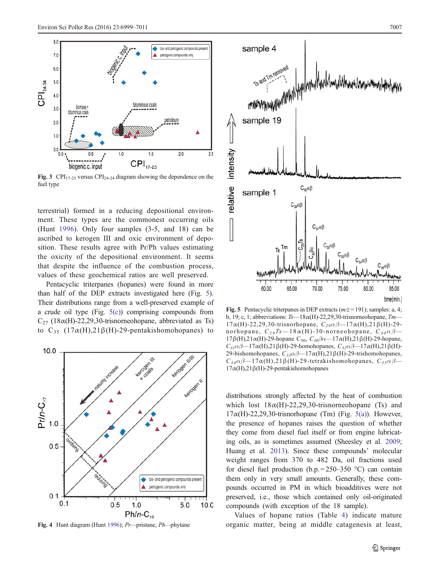<span id="page-9-0"></span>

Fig. 3 CPI<sub>17-23</sub> versus CPI<sub>24-24</sub> diagram showing the dependence on the fuel type

terrestrial) formed in a reducing depositional environment. These types are the commonest occurring oils (Hunt [1996](#page-12-0)). Only four samples (3-5, and 18) can be ascribed to kerogen III and oxic environment of deposition. These results agree with Pr/Ph values estimating the oxicity of the depositional environment. It seems that despite the influence of the combustion process, values of these geochemical ratios are well preserved.

Pentacyclic triterpanes (hopanes) were found in more than half of the DEP extracts investigated here (Fig. 5). Their distributions range from a well-preserved example of a crude oil type (Fig. 5(c)) comprising compounds from  $C_{27}$  (18 $\alpha$ (H)-22,29,30-trisnorneohopane, abbreviated as Ts) to  $C_{35}$  (17α(H),21β(H)-29-pentakishomohopanes) to



Fig. 4 Hunt diagram (Hunt [1996\)](#page-12-0); Pr—pristane, Ph—phytane



Fig. 5 Pentacyclic triterpanes in DEP extracts  $(m/z = 191)$ ; samples: a, 4; b, 19; c, 1; abbreviations:  $Ts$ —18 $\alpha$ (H)-22,29,30-trisnorneohopane,  $Tm$ — 17α(H)-22,29,30-trisnorhopane,  $C_{29}αβ$  - 17α(H),21β(H)-29norhopane,  $C_{29}Ts$  - 18α(H)-30-norneohopane,  $C_{30}\alpha\beta$ -17β(H),21α(H)-29-hopane C<sub>30</sub>,  $C_{30}$ βα—17α(H),21β(H)-29-hopane, C<sub>31</sub>αβ—17α(H),21β(H)-29-homohopanes, C<sub>32</sub>αβ—17α(H),21β(H)-29-bishomohopanes,  $C_{33}αβ$ —17α(H),21β(H)-29-trishomohopanes,  $C_{34}\alpha\beta$ —17α(H),21β(H)-29-tetrakishomohopanes,  $C_{35}\alpha\beta$ — 17α(H),21β(H)-29-pentakishomohopanes

distributions strongly affected by the heat of combustion which lost  $18\alpha$ (H)-22,29,30-trisnorneohopane (Ts) and  $17\alpha$ (H)-22,29,30-trisnorhopane (Tm) (Fig. 5(a)). However, the presence of hopanes raises the question of whether they come from diesel fuel itself or from engine lubricating oils, as is sometimes assumed (Sheesley et al. [2009;](#page-13-0) Huang et al. [2013\)](#page-12-0). Since these compounds' molecular weight ranges from 370 to 482 Da, oil fractions used for diesel fuel production (b.p. =  $250-350$  °C) can contain them only in very small amounts. Generally, these compounds occurred in PM in which bioadditives were not preserved, i.e., those which contained only oil-originated compounds (with exception of the 18 sample).

Values of hopane ratios (Table [4\)](#page-6-0) indicate mature organic matter, being at middle catagenesis at least,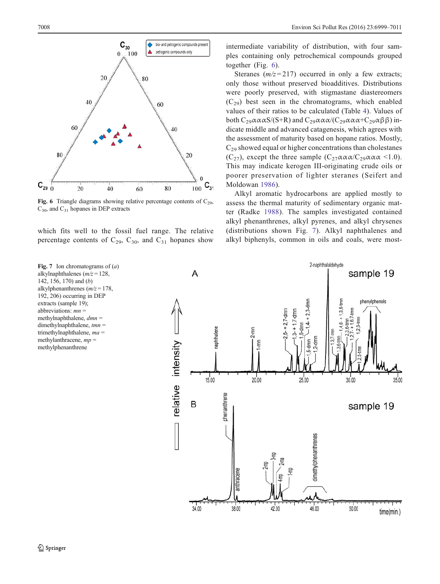

Fig. 6 Triangle diagrams showing relative percentage contents of  $C_{29}$ ,  $C_{30}$ , and  $C_{31}$  hopanes in DEP extracts

which fits well to the fossil fuel range. The relative percentage contents of  $C_{29}$ ,  $C_{30}$ , and  $C_{31}$  hopanes show

Fig. 7 Ion chromatograms of  $(a)$ alkylnaphthalenes  $(m/z = 128,$ 142, 156, 170) and (b) alkylphenanthrenes ( $m/z = 178$ , 192, 206) occurring in DEP extracts (sample 19); abbreviations: mn = methylnaphthalene,  $dmn =$ dimethylnaphthalene,  $tmn =$ trimethylnaphthalene,  $ma =$ methylanthracene,  $mp =$ methylphenanthrene

intermediate variability of distribution, with four samples containing only petrochemical compounds grouped together (Fig. 6).

Steranes  $(m/z = 217)$  occurred in only a few extracts; only those without preserved bioadditives. Distributions were poorly preserved, with stigmastane diastereomers  $(C_{29})$  best seen in the chromatograms, which enabled values of their ratios to be calculated (Table [4\)](#page-6-0). Values of both  $C_{29}\alpha\alpha\alpha S/(S+R)$  and  $C_{29}\alpha\alpha\alpha/(C_{29}\alpha\alpha\alpha+C_{29}\alpha\beta\beta)$  indicate middle and advanced catagenesis, which agrees with the assessment of maturity based on hopane ratios. Mostly,  $C_{29}$  showed equal or higher concentrations than cholestanes (C<sub>27</sub>), except the three sample (C<sub>27</sub> $\alpha \alpha \alpha /C_{29} \alpha \alpha \alpha$  <1.0). This may indicate kerogen III-originating crude oils or poorer preservation of lighter steranes (Seifert and Moldowan [1986](#page-13-0)).

Alkyl aromatic hydrocarbons are applied mostly to assess the thermal maturity of sedimentary organic matter (Radke [1988](#page-13-0)). The samples investigated contained alkyl phenanthrenes, alkyl pyrenes, and alkyl chrysenes (distributions shown Fig. 7). Alkyl naphthalenes and alkyl biphenyls, common in oils and coals, were most-

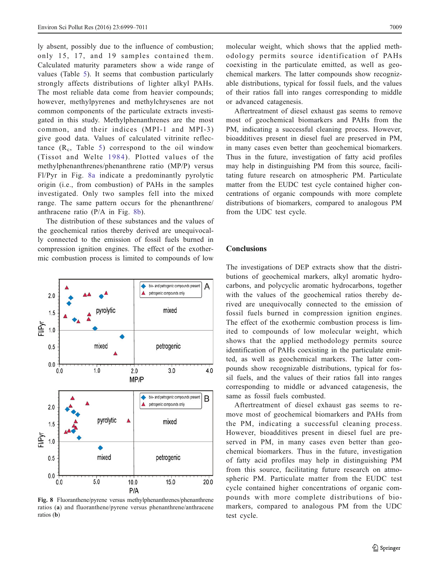ly absent, possibly due to the influence of combustion; only 15, 17, and 19 samples contained them. Calculated maturity parameters show a wide range of values (Table [5\)](#page-7-0). It seems that combustion particularly strongly affects distributions of lighter alkyl PAHs. The most reliable data come from heavier compounds; however, methylpyrenes and methylchrysenes are not common components of the particulate extracts investigated in this study. Methylphenanthrenes are the most common, and their indices (MPI-1 and MPI-3) give good data. Values of calculated vitrinite reflectance  $(R_c,$  Table [5](#page-7-0)) correspond to the oil window (Tissot and Welte [1984](#page-13-0)). Plotted values of the methylphenanthrenes/phenanthrene ratio (MP/P) versus Fl/Pyr in Fig. 8a indicate a predominantly pyrolytic origin (i.e., from combustion) of PAHs in the samples investigated. Only two samples fell into the mixed range. The same pattern occurs for the phenanthrene/ anthracene ratio (P/A in Fig. 8b).

The distribution of these substances and the values of the geochemical ratios thereby derived are unequivocally connected to the emission of fossil fuels burned in compression ignition engines. The effect of the exothermic combustion process is limited to compounds of low



Fig. 8 Fluoranthene/pyrene versus methylphenanthrenes/phenanthrene ratios (a) and fluoranthene/pyrene versus phenanthrene/anthracene ratios (b)

molecular weight, which shows that the applied methodology permits source identification of PAHs coexisting in the particulate emitted, as well as geochemical markers. The latter compounds show recognizable distributions, typical for fossil fuels, and the values of their ratios fall into ranges corresponding to middle or advanced catagenesis.

Aftertreatment of diesel exhaust gas seems to remove most of geochemical biomarkers and PAHs from the PM, indicating a successful cleaning process. However, bioadditives present in diesel fuel are preserved in PM, in many cases even better than geochemical biomarkers. Thus in the future, investigation of fatty acid profiles may help in distinguishing PM from this source, facilitating future research on atmospheric PM. Particulate matter from the EUDC test cycle contained higher concentrations of organic compounds with more complete distributions of biomarkers, compared to analogous PM from the UDC test cycle.

# **Conclusions**

The investigations of DEP extracts show that the distributions of geochemical markers, alkyl aromatic hydrocarbons, and polycyclic aromatic hydrocarbons, together with the values of the geochemical ratios thereby derived are unequivocally connected to the emission of fossil fuels burned in compression ignition engines. The effect of the exothermic combustion process is limited to compounds of low molecular weight, which shows that the applied methodology permits source identification of PAHs coexisting in the particulate emitted, as well as geochemical markers. The latter compounds show recognizable distributions, typical for fossil fuels, and the values of their ratios fall into ranges corresponding to middle or advanced catagenesis, the same as fossil fuels combusted.

Aftertreatment of diesel exhaust gas seems to remove most of geochemical biomarkers and PAHs from the PM, indicating a successful cleaning process. However, bioadditives present in diesel fuel are preserved in PM, in many cases even better than geochemical biomarkers. Thus in the future, investigation of fatty acid profiles may help in distinguishing PM from this source, facilitating future research on atmospheric PM. Particulate matter from the EUDC test cycle contained higher concentrations of organic compounds with more complete distributions of biomarkers, compared to analogous PM from the UDC test cycle.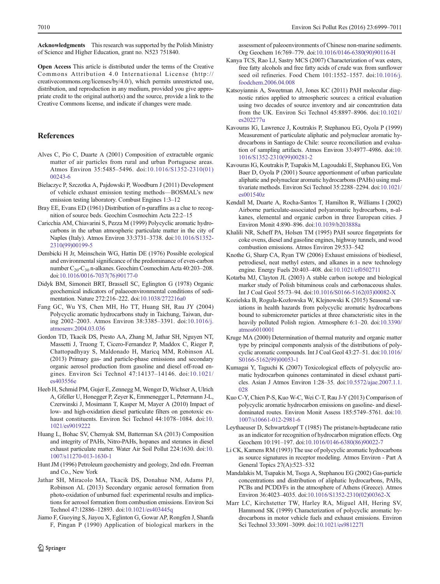<span id="page-12-0"></span>Acknowledgments This research was supported by the Polish Ministry of Science and Higher Education, grant no. N523 751840.

Open Access This article is distributed under the terms of the Creative Commons Attribution 4.0 International License (http:// creativecommons.org/licenses/by/4.0/), which permits unrestricted use, distribution, and reproduction in any medium, provided you give appropriate credit to the original author(s) and the source, provide a link to the Creative Commons license, and indicate if changes were made.

# References

- Alves C, Pio C, Duarte A (2001) Composition of extractable organic matter of air particles from rural and urban Portuguese areas. Atmos Environ 35:5485–5496. doi:[10.1016/S1352-2310\(01\)](http://dx.doi.org/10.1016/S1352-2310(01)00243-6) [00243-6](http://dx.doi.org/10.1016/S1352-2310(01)00243-6)
- Bielaczyc P, Szczotka A, Pajdowski P, Woodburn J (2011) Development of vehicle exhaust emission testing methods—BOSMAL's new emission testing laboratory. Combust Engines 1:3–12
- Bray EE, Evans ED (1961) Distribution of n-paraffins as a clue to recognition of source beds. Geochim Cosmochim Acta 22:2–15
- Caricchia AM, Chiavarini S, Pezza M (1999) Polycyclic aromatic hydrocarbons in the urban atmospheric particulate matter in the city of Naples (Italy). Atmos Environ 33:3731–3738. doi[:10.1016/S1352-](http://dx.doi.org/10.1016/S1352-2310(99)00199-5) [2310\(99\)00199-5](http://dx.doi.org/10.1016/S1352-2310(99)00199-5)
- Dembicki H Jr, Meinschein WG, Hattin DE (1976) Possible ecological and environmental significance of the predominance of even-carbon number C<sub>20</sub>-C<sub>30</sub> n-alkanes. Geochim Cosmochim Acta 40:203–208. doi:[10.1016/0016-7037\(76\)90177-0](http://dx.doi.org/10.1016/0016-7037(76)90177-0)
- Didyk BM, Simoneit BRT, Brassell SC, Eglington G (1978) Organic geochemical indicators of palaeoenvironmental conditions of sedimentation. Nature 272:216–222. doi[:10.1038/272216a0](http://dx.doi.org/10.1038/272216a0)
- Fang GC, Wu YS, Chen MH, Ho TT, Huang SH, Rau JY (2004) Polycyclic aromatic hydrocarbons study in Taichung, Taiwan, during 2002–2003. Atmos Environ 38:3385–3391. doi:[10.1016/j.](http://dx.doi.org/10.1016/j.atmosenv.2004.03.036) [atmosenv.2004.03.036](http://dx.doi.org/10.1016/j.atmosenv.2004.03.036)
- Gordon TD, Tkacik DS, Presto AA, Zhang M, Jathar SH, Nguyen NT, Massetti J, Truong T, Cicero-Fernandez P, Maddox C, Rieger P, Chattopadhyay S, Maldonado H, Maricq MM, Robinson AL (2013) Primary gas- and particle-phase emissions and secondary organic aerosol production from gasoline and diesel off-road engines. Environ Sci Technol 47:14137–14146. doi:[10.1021/](http://dx.doi.org/10.1021/es403556e) [es403556e](http://dx.doi.org/10.1021/es403556e)
- Heeb H, Schmid PM, Gujer E, Zennegg M, Wenger D, Wichser A, Ulrich A, Gfeller U, Honegger P, Zeyer K, Emmenegger L, Petermann J-L, Czerwinski J, Mosimann T, Kasper M, Mayer A (2010) Impact of low- and high-oxidation diesel particulate filters on genotoxic exhaust constituents. Environ Sci Technol 44:1078–1084. doi[:10.](http://dx.doi.org/10.1021/es9019222) [1021/es9019222](http://dx.doi.org/10.1021/es9019222)
- Huang L, Bohac SV, Chernyak SM, Batterman SA (2013) Composition and integrity of PAHs, Nitro-PAHs, hopanes and steranes in diesel exhaust particulate matter. Water Air Soil Pollut 224:1630. doi:[10.](http://dx.doi.org/10.1007/s11270-013-1630-1) [1007/s11270-013-1630-1](http://dx.doi.org/10.1007/s11270-013-1630-1)
- Hunt JM (1996) Petroleum geochemistry and geology, 2nd edn. Freeman and Co., New York
- Jathar SH, Miracolo MA, Tkacik DS, Donahue NM, Adams PJ, Robinson AL (2013) Secondary organic aerosol formation from photo-oxidation of unburned fuel: experimental results and implications for aerosol formation from combustion emissions. Environ Sci Technol 47:12886–12893. doi[:10.1021/es403445q](http://dx.doi.org/10.1021/es403445q)
- Jiamo F, Guoying S, Jiayou X, Eglinton G, Gowar AP, Rongfen J, Shanfa F, Pingan P (1990) Application of biological markers in the

assessment of paleoenvironments of Chinese non-marine sediments. Org Geochem 16:769–779. doi[:10.1016/0146-6380\(90\)90116-H](http://dx.doi.org/10.1016/0146-6380(90)90116-H)

- Kanya TCS, Rao LJ, Sastry MCS (2007) Characterization of wax esters, free fatty alcohols and free fatty acids of crude wax from sunflower seed oil refineries. Food Chem 101:1552–1557. doi[:10.1016/j.](http://dx.doi.org/10.1016/j.foodchem.2006.04.008) [foodchem.2006.04.008](http://dx.doi.org/10.1016/j.foodchem.2006.04.008)
- Katsoyiannis A, Sweetman AJ, Jones KC (2011) PAH molecular diagnostic ratios applied to atmospheric sources: a critical evaluation using two decades of source inventory and air concentration data from the UK. Environ Sci Technol 45:8897–8906. doi:[10.1021/](http://dx.doi.org/10.1021/es202277u) [es202277u](http://dx.doi.org/10.1021/es202277u)
- Kavouras IG, Lawrence J, Koutrakis P, Stephanou EG, Oyola P (1999) Measurement of particulate aliphatic and polynuclear aromatic hydrocarbons in Santiago de Chile: source reconciliation and evaluation of sampling artifacts. Atmos Environ 33:4977–4986. doi[:10.](http://dx.doi.org/10.1016/S1352-2310(99)00281-2) [1016/S1352-2310\(99\)00281-2](http://dx.doi.org/10.1016/S1352-2310(99)00281-2)
- Kavouras IG, Koutrakis P, Tsapakis M, Lagoudaki E, Stephanou EG, Von Baer D, Oyola P (2001) Source apportionment of urban particulate aliphatic and polynuclear aromatic hydrocarbons (PAHs) using multivariate methods. Environ Sci Technol 35:2288–2294. doi[:10.1021/](http://dx.doi.org/10.1021/es001540z) [es001540z](http://dx.doi.org/10.1021/es001540z)
- Kendall M, Duarte A, Rocha-Santos T, Hamilton R, Williams I (2002) Airborne particulate-associated polyaromatic hydrocarbons, n-alkanes, elemental and organic carbon in three European cities. J Environ Monit 4:890–896. doi[:10.1039/b203888a](http://dx.doi.org/10.1039/b203888a)
- Khalili NR, Scheff PA, Holsen TM (1995) PAH source fingerprints for coke ovens, diesel and gasoline engines, highway tunnels, and wood combustion emissions. Atmos Environ 29:533–542
- Knothe G, Sharp CA, Ryan TW (2006) Exhaust emissions of biodiesel, petrodiesel, neat methyl esters, and alkanes in a new technology engine. Energy Fuels 20:403–408. doi[:10.1021/ef0502711](http://dx.doi.org/10.1021/ef0502711)
- Kotarba MJ, Clayton JL (2003) A stable carbon isotope and biological marker study of Polish bituminous coals and carbonaceous shales. Int J Coal Geol 55:73–94. doi[:10.1016/S0166-5162\(03\)00082-X](http://dx.doi.org/10.1016/S0166-5162(03)00082-X)
- Kozielska B, Rogula-Kozłowska W, Klejnowski K (2015) Seasonal variations in health hazards from polycyclic aromatic hydrocarbons bound to submicrometer particles at three characteristic sites in the heavily polluted Polish region. Atmosphere 6:1–20. doi[:10.3390/](http://dx.doi.org/10.3390/atmos6010001) [atmos6010001](http://dx.doi.org/10.3390/atmos6010001)
- Kruge MA (2000) Determination of thermal maturity and organic matter type by principal components analysis of the distributions of polycyclic aromatic compounds. Int J Coal Geol 43:27–51. doi[:10.1016/](http://dx.doi.org/10.1016/S0166-5162(99)00053-1) [S0166-5162\(99\)00053-1](http://dx.doi.org/10.1016/S0166-5162(99)00053-1)
- Kumagai Y, Taguchi K (2007) Toxicological effects of polycyclic aromatic hydrocarbon quinones contaminated in diesel exhaust particles. Asian J Atmos Environ 1:28–35. doi[:10.5572/ajae.2007.1.1.](http://dx.doi.org/10.5572/ajae.2007.1.1.028) [028](http://dx.doi.org/10.5572/ajae.2007.1.1.028)
- Kuo C-Y, Chien P-S, Kuo W-C, Wei C-T, Rau J-Y (2013) Comparison of polycyclic aromatic hydrocarbon emissions on gasoline- and dieseldominated routes. Environ Monit Assess 185:5749–5761. doi[:10.](http://dx.doi.org/10.1007/s10661-012-2981-6) [1007/s10661-012-2981-6](http://dx.doi.org/10.1007/s10661-012-2981-6)
- Leythaeuser D, Schwartzkopf T (1985) The pristane/n-heptadecane ratio as an indicator for recognition of hydrocarbon migration effects. Org Geochem 10:191–197. doi[:10.1016/0146-6380\(86\)90022-7](http://dx.doi.org/10.1016/0146-6380(86)90022-7)
- Li CK, Kamens RM (1993) The use of polycyclic aromatic hydrocarbons as source signatures in receptor modeling. Atmos Environ - Part A General Topics 27(A):523–532
- Mandalakis M, Tsapakis M, Tsoga A, Stephanou EG (2002) Gas-particle concentrations and distribution of aliphatic hydrocarbons, PAHs, PCBs and PCDD/Fs in the atmosphere of Athens (Greece). Atmos Environ 36:4023–4035. doi[:10.1016/S1352-2310\(02\)00362-X](http://dx.doi.org/10.1016/S1352-2310(02)00362-X)
- Marr LC, Kirchstetter TW, Harley RA, Miguel AH, Hering SV, Hammond SK (1999) Characterization of polycyclic aromatic hydrocarbons in motor vehicle fuels and exhaust emissions. Environ Sci Technol 33:3091–3099. doi[:10.1021/es981227l](http://dx.doi.org/10.1021/es981227l)